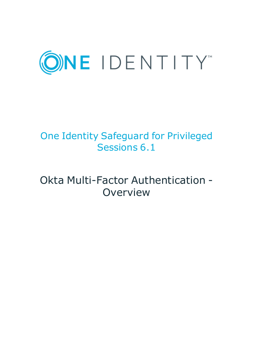

# One Identity Safeguard for Privileged Sessions 6.1

# Okta Multi-Factor Authentication - **Overview**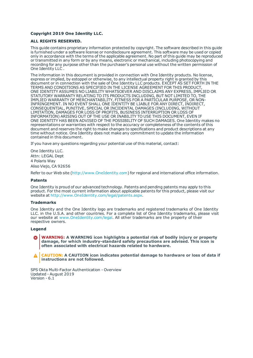#### **Copyright 2019 One Identity LLC.**

#### **ALL RIGHTS RESERVED.**

This guide contains proprietary information protected by copyright. The software described in this guide is furnished under a software license or nondisclosure agreement. This software may be used or copied only in accordance with the terms of the applicable agreement. No part of this guide may be reproduced or transmitted in any form or by any means, electronic or mechanical, including photocopying and recording for any purpose other than the purchaser's personal use without the written permission of One Identity LLC .

The information in this document is provided in connection with One Identity products. No license, express or implied, by estoppel or otherwise, to any intellectual property right is granted by this document or in connection with the sale of One Identity LLC products. EXCEPT AS SET FORTH IN THE TERMS AND CONDITIONS AS SPECIFIED IN THE LICENSE AGREEMENT FOR THIS PRODUCT, ONE IDENTITY ASSUMES NO LIABILITY WHATSOEVER AND DISCLAIMS ANY EXPRESS, IMPLIED OR STATUTORY WARRANTY RELATING TO ITS PRODUCTS INCLUDING, BUT NOT LIMITED TO, THE IMPLIED WARRANTY OF MERCHANTABILITY, FITNESS FOR A PARTICULAR PURPOSE, OR NON-INFRINGEMENT. IN NO EVENT SHALL ONE IDENTITY BE LIABLE FOR ANY DIRECT, INDIRECT, CONSEQUENTIAL, PUNITIVE, SPECIAL OR INCIDENTAL DAMAGES (INCLUDING, WITHOUT LIMITATION, DAMAGES FOR LOSS OF PROFITS, BUSINESS INTERRUPTION OR LOSS OF INFORMATION) ARISING OUT OF THE USE OR INABILITY TO USE THIS DOCUMENT, EVEN IF ONE IDENTITY HAS BEEN ADVISED OF THE POSSIBILITY OF SUCH DAMAGES. One Identity makes no representations or warranties with respect to the accuracy or completeness of the contents of this document and reserves the right to make changes to specifications and product descriptions at any time without notice. One Identity does not make any commitment to update the information contained in this document.

If you have any questions regarding your potential use of this material, contact:

One Identity LLC. Attn: LEGAL Dept 4 Polaris Way Aliso Viejo, CA 92656

Refer to our Web site ([http://www.OneIdentity.com](http://www.oneidentity.com/)) for regional and international office information.

#### **Patents**

One Identity is proud of our advanced technology. Patents and pending patents may apply to this product. For the most current information about applicable patents for this product, please visit our website at [http://www.OneIdentity.com/legal/patents.aspx](http://www.oneidentity.com/legal/patents.aspx).

#### **Trademarks**

One Identity and the One Identity logo are trademarks and registered trademarks of One Identity LLC. in the U.S.A. and other countries. For a complete list of One Identity trademarks, please visit our website at [www.OneIdentity.com/legal](http://www.oneidentity.com/legal). All other trademarks are the property of their respective owners.

#### **Legend**

**WARNING: A WARNING icon highlights a potential risk of bodily injury or property damage, for which industry-standard safety precautions are advised. This icon is often associated with electrical hazards related to hardware.**

**CAUTION: A CAUTION icon indicates potential damage to hardware or loss of data if** A **instructions are not followed.**

SPS Okta Multi-Factor Authentication - Overview Updated - August 2019 Version - 6.1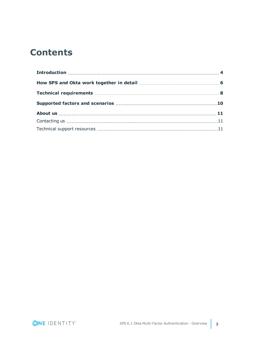## **Contents**

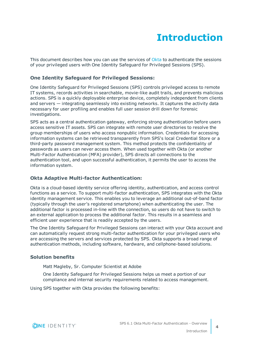# **Introduction**

<span id="page-3-0"></span>This document describes how you can use the services of [Okta](https://www.okta.com/) to authenticate the sessions of your privileged users with One Identity Safeguard for Privileged Sessions (SPS).

### **One Identity Safeguard for Privileged Sessions:**

One Identity Safeguard for Privileged Sessions (SPS) controls privileged access to remote IT systems, records activities in searchable, movie-like audit trails, and prevents malicious actions. SPS is a quickly deployable enterprise device, completely independent from clients and servers — integrating seamlessly into existing networks. It captures the activity data necessary for user profiling and enables full user session drill down for forensic investigations.

SPS acts as a central authentication gateway, enforcing strong authentication before users access sensitive IT assets. SPS can integrate with remote user directories to resolve the group memberships of users who access nonpublic information. Credentials for accessing information systems can be retrieved transparently from SPS's local Credential Store or a third-party password management system. This method protects the confidentiality of passwords as users can never access them. When used together with Okta (or another Multi-Factor Authentication (MFA) provider), SPS directs all connections to the authentication tool, and upon successful authentication, it permits the user to access the information system.

### **Okta Adaptive Multi-factor Authentication:**

Okta is a cloud-based identity service offering identity, authentication, and access control functions as a service. To support multi-factor authentication, SPS integrates with the Okta identity management service. This enables you to leverage an additional out-of-band factor (typically through the user's registered smartphone) when authenticating the user. The additional factor is processed in-line with the connection, so users do not have to switch to an external application to process the additional factor. This results in a seamless and efficient user experience that is readily accepted by the users.

The One Identity Safeguard for Privileged Sessions can interact with your Okta account and can automatically request strong multi-factor authentication for your privileged users who are accessing the servers and services protected by SPS. Okta supports a broad range of authentication methods, including software, hardware, and cellphone-based solutions.

### **Solution benefits**

Matt Magleby, Sr. Computer Scientist at Adobe

One Identity Safeguard for Privileged Sessions helps us meet a portion of our compliance and internal security requirements related to access management.

Using SPS together with Okta provides the following benefits:



**4**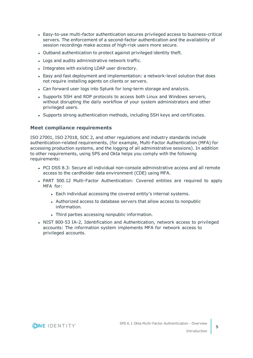- <sup>l</sup> Easy-to-use multi-factor authentication secures privileged access to business-critical servers. The enforcement of a second-factor authentication and the availability of session recordings make access of high-risk users more secure.
- Outband authentication to protect against privileged identity theft.
- Logs and audits administrative network traffic.
- Integrates with existing LDAP user directory.
- Easy and fast deployment and implementation: a network-level solution that does not require installing agents on clients or servers.
- Can forward user logs into Splunk for long-term storage and analysis.
- Supports SSH and RDP protocols to access both Linux and Windows servers, without disrupting the daily workflow of your system administrators and other privileged users.
- Supports strong authentication methods, including SSH keys and certificates.

### **Meet compliance requirements**

ISO 27001, ISO 27018, SOC 2, and other regulations and industry standards include authentication-related requirements, (for example, Multi-Factor Authentication (MFA) for accessing production systems, and the logging of all administrative sessions). In addition to other requirements, using SPS and Okta helps you comply with the following requirements:

- PCI DSS 8.3: Secure all individual non-console administrative access and all remote access to the cardholder data environment (CDE) using MFA.
- PART 500.12 Multi-Factor Authentication: Covered entities are required to apply MFA for:
	- Each individual accessing the covered entity's internal systems.
	- Authorized access to database servers that allow access to nonpublic information.
	- Third parties accessing nonpublic information.
- NIST 800-53 IA-2, Identification and Authentication, network access to privileged accounts: The information system implements MFA for network access to privileged accounts.



**5**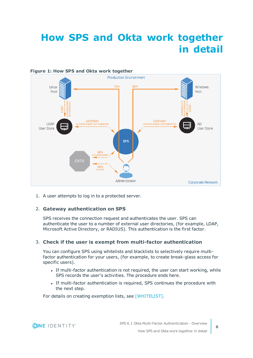# <span id="page-5-0"></span>**How SPS and Okta work together in detail**



1. A user attempts to log in to a protected server.

### 2. **Gateway authentication on SPS**

SPS receives the connection request and authenticates the user. SPS can authenticate the user to a number of external user directories, (for example, LDAP, Microsoft Active Directory, or RADIUS). This authentication is the first factor.

### 3. **Check if the user is exempt from multi-factor authentication**

You can configure SPS using whitelists and blacklists to selectively require multifactor authentication for your users, (for example, to create break-glass access for specific users).

- If multi-factor authentication is not required, the user can start working, while SPS records the user's activities. The procedure ends here.
- If multi-factor authentication is required, SPS continues the procedure with the next step.

For details on creating exemption lists, see [WHITELIST].

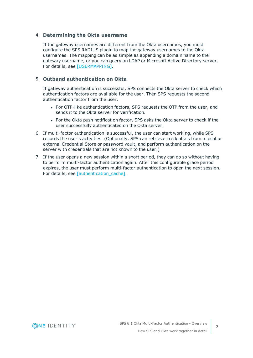#### 4. **Determining the Okta username**

If the gateway usernames are different from the Okta usernames, you must configure the SPS RADIUS plugin to map the gateway usernames to the Okta usernames. The mapping can be as simple as appending a domain name to the gateway username, or you can query an LDAP or Microsoft Active Directory server. For details, see [USERMAPPING].

### 5. **Outband authentication on Okta**

If gateway authentication is successful, SPS connects the Okta server to check which authentication factors are available for the user. Then SPS requests the second authentication factor from the user.

- For OTP-like authentication factors, SPS requests the OTP from the user, and sends it to the Okta server for verification.
- For the Okta push notification factor, SPS asks the Okta server to check if the user successfully authenticated on the Okta server.
- 6. If multi-factor authentication is successful, the user can start working, while SPS records the user's activities. (Optionally, SPS can retrieve credentials from a local or external Credential Store or password vault, and perform authentication on the server with credentials that are not known to the user.)
- 7. If the user opens a new session within a short period, they can do so without having to perform multi-factor authentication again. After this configurable grace period expires, the user must perform multi-factor authentication to open the next session. For details, see [authentication\_cache].

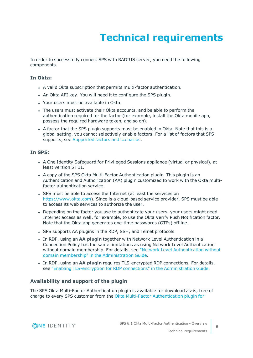# **Technical requirements**

<span id="page-7-0"></span>In order to successfully connect SPS with RADIUS server, you need the following components.

### **In Okta:**

- A valid Okta subscription that permits multi-factor authentication.
- An Okta API key. You will need it to configure the SPS plugin.
- Your users must be available in Okta.
- The users must activate their Okta accounts, and be able to perform the authentication required for the factor (for example, install the Okta mobile app, possess the required hardware token, and so on).
- A factor that the SPS plugin supports must be enabled in Okta. Note that this is a global setting, you cannot selectively enable factors. For a list of factors that SPS supports, see [Supported](#page-9-0) factors and scenarios.

### **In SPS:**

- A One Identity Safeguard for Privileged Sessions appliance (virtual or physical), at least version 5 F11.
- A copy of the SPS Okta Multi-Factor Authentication plugin. This plugin is an Authentication and Authorization (AA) plugin customized to work with the Okta multifactor authentication service.
- SPS must be able to access the Internet (at least the services on [https://www.okta.com](https://www.okta.com/)). Since is a cloud-based service provider, SPS must be able to access its web services to authorize the user.
- Depending on the factor you use to authenticate your users, your users might need Internet access as well, for example, to use the Okta Verify Push Notification factor. Note that the Okta app generates one-time passwords (OTPs) offline.
- SPS supports AA plugins in the RDP, SSH, and Telnet protocols.
- In RDP, using an AA plugin together with Network Level Authentication in a Connection Policy has the same limitations as using Network Level Authentication without domain membership. For details, see "Network Level [Authentication](https://support.oneidentity.com/technical-documents/safeguard-for-privileged-sessions/6.1.0/administration-guide/rdp-specific-settings/network-level-authentication-nla-with-one-identity-safeguard-for-privileged-sessions-sps/network-level-authentication-without-domain-membership/) without domain membership" in the [Administration](https://support.oneidentity.com/technical-documents/safeguard-for-privileged-sessions/6.1.0/administration-guide/rdp-specific-settings/network-level-authentication-nla-with-one-identity-safeguard-for-privileged-sessions-sps/network-level-authentication-without-domain-membership/) Guide.
- <sup>l</sup> In RDP, using an **AA plugin** requires TLS-encrypted RDP connections. For details, see "Enabling [TLS-encryption](https://support.oneidentity.com/technical-documents/safeguard-for-privileged-sessions/6.1.0/administration-guide/rdp-specific-settings/enabling-tls-encryption-for-rdp-connections/) for RDP connections" in the Administration Guide.

### **Availability and support of the plugin**

The SPS Okta Multi-Factor Authentication plugin is available for download as-is, free of charge to every SPS customer from the Okta Multi-Factor [Authentication](https://github.com/OneIdentity/safeguard-sessions-plugin-okta-mfa) plugin for

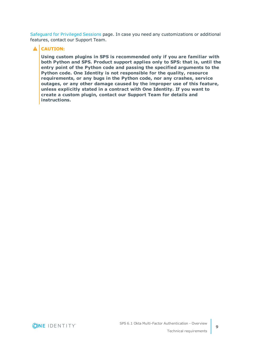[Safeguard](https://github.com/OneIdentity/safeguard-sessions-plugin-okta-mfa) for Privileged Sessions page. In case you need any customizations or additional features, contact our Support Team.

### **A** CAUTION:

**Using custom plugins in SPS is recommended only if you are familiar with both Python and SPS. Product support applies only to SPS: that is, until the entry point of the Python code and passing the specified arguments to the Python code. One Identity is not responsible for the quality, resource requirements, or any bugs in the Python code, nor any crashes, service outages, or any other damage caused by the improper use of this feature, unless explicitly stated in a contract with One Identity. If you want to create a custom plugin, contact our Support Team for details and instructions.**

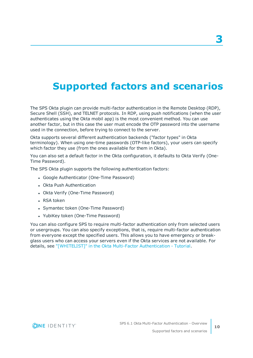## <span id="page-9-0"></span>**Supported factors and scenarios**

The SPS Okta plugin can provide multi-factor authentication in the Remote Desktop (RDP), Secure Shell (SSH), and TELNET protocols. In RDP, using push notifications (when the user authenticates using the Okta mobil app) is the most convenient method. You can use another factor, but in this case the user must encode the OTP password into the username used in the connection, before trying to connect to the server.

Okta supports several different authentication backends ("factor types" in Okta terminology). When using one-time passwords (OTP-like factors), your users can specify which factor they use (from the ones available for them in Okta).

You can also set a default factor in the Okta configuration, it defaults to Okta Verify (One-Time Password).

The SPS Okta plugin supports the following authentication factors:

- Google Authenticator (One-Time Password)
- Okta Push Authentication
- Okta Verify (One-Time Password)
- $\cdot$  RSA token
- Symantec token (One-Time Password)
- YubiKey token (One-Time Password)

You can also configure SPS to require multi-factor authentication only from selected users or usergroups. You can also specify exceptions, that is, require multi-factor authentication from everyone except the specified users. This allows you to have emergency or breakglass users who can access your servers even if the Okta services are not available. For details, see ["\[WHITELIST\]"](https://support.oneidentity.com/technical-documents/safeguard-for-privileged-sessions/6.1.0/okta-multi-factor-authentication---tutorial/sps-okta-plugin-parameter-reference/[whitelist]/) in the Okta Multi-Factor Authentication - Tutorial.